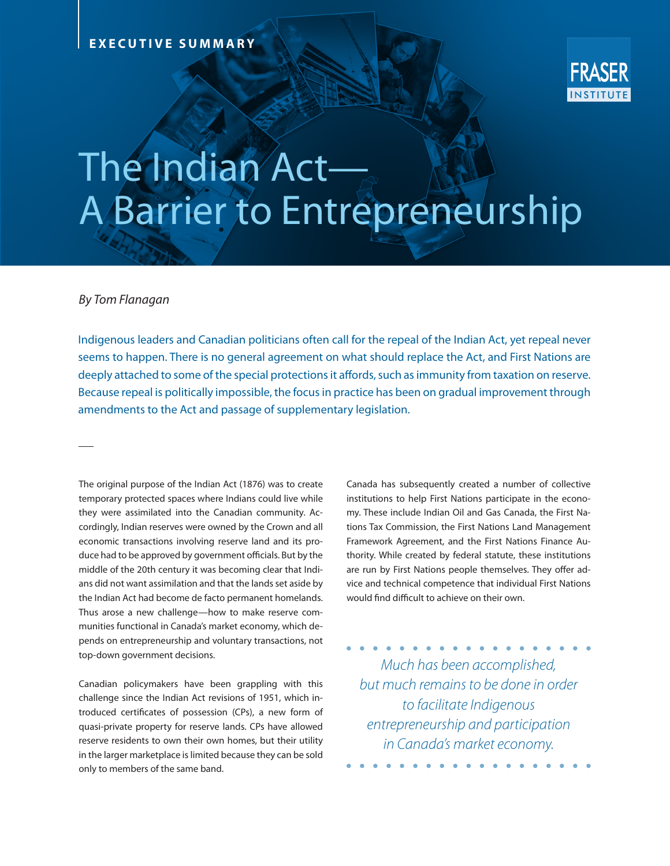

## The Indian Act— A Barrier to Entrepreneurship

## *By Tom Flanagan*

Indigenous leaders and Canadian politicians often call for the repeal of the Indian Act, yet repeal never seems to happen. There is no general agreement on what should replace the Act, and First Nations are deeply attached to some of the special protections it affords, such as immunity from taxation on reserve. Because repeal is politically impossible, the focus in practice has been on gradual improvement through amendments to the Act and passage of supplementary legislation.

The original purpose of the Indian Act (1876) was to create temporary protected spaces where Indians could live while they were assimilated into the Canadian community. Accordingly, Indian reserves were owned by the Crown and all economic transactions involving reserve land and its produce had to be approved by government officials. But by the middle of the 20th century it was becoming clear that Indians did not want assimilation and that the lands set aside by the Indian Act had become de facto permanent homelands. Thus arose a new challenge—how to make reserve communities functional in Canada's market economy, which depends on entrepreneurship and voluntary transactions, not top-down government decisions.

Canadian policymakers have been grappling with this challenge since the Indian Act revisions of 1951, which introduced certificates of possession (CPs), a new form of quasi-private property for reserve lands. CPs have allowed reserve residents to own their own homes, but their utility in the larger marketplace is limited because they can be sold only to members of the same band.

Canada has subsequently created a number of collective institutions to help First Nations participate in the economy. These include Indian Oil and Gas Canada, the First Nations Tax Commission, the First Nations Land Management Framework Agreement, and the First Nations Finance Authority. While created by federal statute, these institutions are run by First Nations people themselves. They offer advice and technical competence that individual First Nations would find difficult to achieve on their own.

*Much has been accomplished, but much remains to be done in order to facilitate Indigenous entrepreneurship and participation in Canada's market economy.*